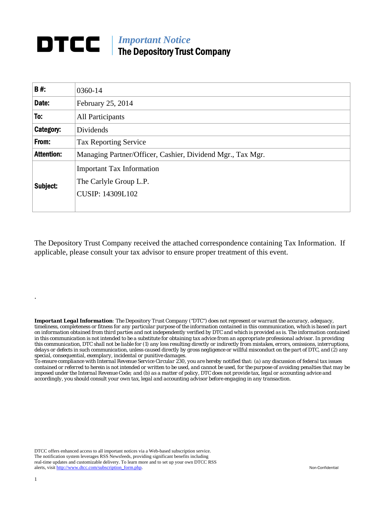## *Important Notice*  The Depository Trust Company

| <b>B#:</b>        | 0360-14                                                                               |  |
|-------------------|---------------------------------------------------------------------------------------|--|
| Date:             | February 25, 2014                                                                     |  |
| To:               | <b>All Participants</b>                                                               |  |
| Category:         | Dividends                                                                             |  |
| From:             | <b>Tax Reporting Service</b>                                                          |  |
| <b>Attention:</b> | Managing Partner/Officer, Cashier, Dividend Mgr., Tax Mgr.                            |  |
| Subject:          | <b>Important Tax Information</b><br>The Carlyle Group L.P.<br><b>CUSIP: 14309L102</b> |  |

The Depository Trust Company received the attached correspondence containing Tax Information. If applicable, please consult your tax advisor to ensure proper treatment of this event.

*Important Legal Information: The Depository Trust Company ("DTC") does not represent or warrant the accuracy, adequacy, timeliness, completeness or fitness for any particular purpose of the information contained in this communication, which is based in part on information obtained from third parties and not independently verified by DTC and which is provided as is. The information contained in this communication is not intended to be a substitute for obtaining tax advice from an appropriate professional advisor. In providing this communication, DTC shall not be liable for (1) any loss resulting directly or indirectly from mistakes, errors, omissions, interruptions, delays or defects in such communication, unless caused directly by gross negligence or willful misconduct on the part of DTC, and (2) any special, consequential, exemplary, incidental or punitive damages.* 

*To ensure compliance with Internal Revenue Service Circular 230, you are hereby notified that: (a) any discussion of federal tax issues contained or referred to herein is not intended or written to be used, and cannot be used, for the purpose of avoiding penalties that may be imposed under the Internal Revenue Code; and (b) as a matter of policy, DTC does not provide tax, legal or accounting advice and accordingly, you should consult your own tax, legal and accounting advisor before engaging in any transaction.*

DTCC offers enhanced access to all important notices via a Web-based subscription service. The notification system leverages RSS Newsfeeds, providing significant benefits including real-time updates and customizable delivery. To learn more and to set up your own DTCC RSS alerts, visit http://www.dtcc.com/subscription\_form.php. Non-Confidential

.